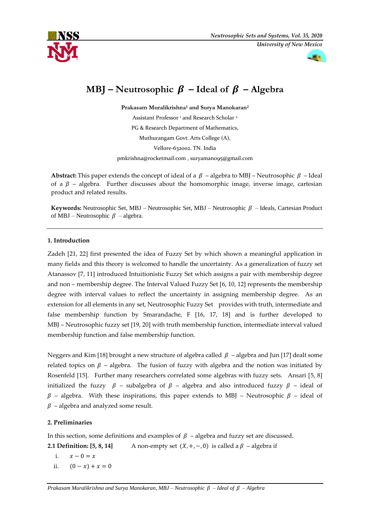



# **MBJ** – **Neutrosophic**  $\beta$  – **Ideal of**  $\beta$  – **Algebra**

**Prakasam Muralikrishna<sup>1</sup> and Surya Manokaran<sup>2</sup>** Assistant Professor<sup>1</sup> and Research Scholar<sup>2</sup> PG & Research Department of Mathematics, Muthurangam Govt. Arts College (A), Vellore-632002. TN. India

[pmkrishna@rocketmail.com](mailto:pmkrishna@rocketmail.com) , [suryamano95@gmail.com](mailto:suryamano95@gmail.com)

**Abstract:** This paper extends the concept of ideal of a  $\beta$  – algebra to MBJ – Neutrosophic  $\beta$  – Ideal of a  $\beta$  – algebra. Further discusses about the homomorphic image, inverse image, cartesian product and related results.

**Keywords:** Neutrosophic Set, MBJ – Neutrosophic Set, MBJ – Neutrosophic  $\beta$  – Ideals, Cartesian Product of MBJ – Neutrosophic  $\beta$  – algebra.

## **1. Introduction**

Zadeh [21, 22] first presented the idea of Fuzzy Set by which shown a meaningful application in many fields and this theory is welcomed to handle the uncertainty. As a generalization of fuzzy set Atanassov [7, 11] introduced Intuitionistic Fuzzy Set which assigns a pair with membership degree and non – membership degree. The Interval Valued Fuzzy Set [6, 10, 12] represents the membership degree with interval values to reflect the uncertainty in assigning membership degree. As an extension for all elements in any set, Neutrosophic Fuzzy Set provides with truth, intermediate and false membership function by Smarandache, F [16, 17, 18] and is further developed to MBJ – Neutrosophic fuzzy set [19, 20] with truth membership function, intermediate interval valued membership function and false membership function.

Neggers and Kim [18] brought a new structure of algebra called  $\beta$  – algebra and Jun [17] dealt some related topics on  $\beta$  – algebra. The fusion of fuzzy with algebra and the notion was initiated by Rosenfeld [15]. Further many researchers correlated some algebras with fuzzy sets. Ansari [5, 8] initialized the fuzzy  $\beta$  – subalgebra of  $\beta$  – algebra and also introduced fuzzy  $\beta$  – ideal of  $\beta$  – algebra. With these inspirations, this paper extends to MBJ – Neutrosophic  $\beta$  – ideal of  $\beta$  – algebra and analyzed some result.

## **2. Preliminaries**

In this section, some definitions and examples of  $\beta$  – algebra and fuzzy set are discussed.

**2.1 Definition: [5, 8, 14]** A non-empty set  $(X, +, -, 0)$  is called a  $\beta$  – algebra if

- i.  $x 0 = x$
- ii.  $(0 x) + x = 0$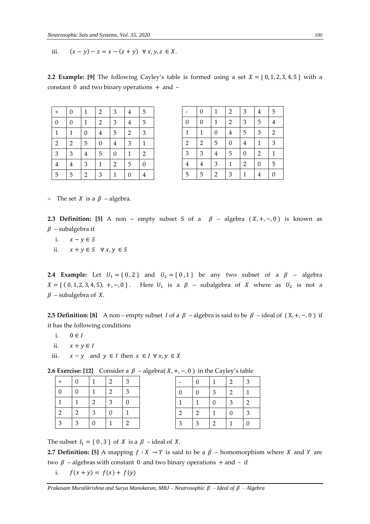iii.  $(x - y) - z = x - (z + y) \forall x, y, z \in X$ .

**2.2 Example: [9]** The following Cayley's table is formed using a set  $X = \{0, 1, 2, 3, 4, 5\}$  with a constant 0 and two binary operations + and –

| $^{+}$           | $\boldsymbol{0}$        | $\mathbf{1}$   | $\overline{\mathbf{c}}$ | $\mathfrak{Z}$          | $\overline{\mathbf{4}}$ | 5                       |
|------------------|-------------------------|----------------|-------------------------|-------------------------|-------------------------|-------------------------|
| $\boldsymbol{0}$ | $\boldsymbol{0}$        | $\mathbf{1}$   | $\overline{a}$          | $\mathfrak{Z}$          | $\overline{4}$          | $\overline{5}$          |
| $\mathbf{1}$     | $\mathbf{1}$            | $\overline{0}$ | 4                       | 5                       | $\overline{2}$          | 3                       |
| $\overline{2}$   | $\overline{\mathbf{c}}$ | 5              | $\boldsymbol{0}$        | $\frac{4}{1}$           | $\overline{\mathbf{3}}$ | $\mathbf{1}$            |
| $\mathfrak{Z}$   | $\mathfrak{Z}$          | $\frac{4}{1}$  | 5                       | $\boldsymbol{0}$        | $\mathbf{1}$            | $\overline{\mathbf{c}}$ |
| $\overline{4}$   | $\overline{4}$          | $\mathfrak{Z}$ | $\mathbf{1}$            | $\overline{\mathbf{c}}$ | 5                       | $\boldsymbol{0}$        |
| 5                | 5                       | $\overline{2}$ | 3                       | $\mathbf{1}$            | $\boldsymbol{0}$        | $\overline{4}$          |

|                                                         | $\boldsymbol{0}$        | $\mathbf 1$    | $\overline{\mathbf{c}}$ | $\overline{\mathbf{3}}$ | $\overline{\mathbf{4}}$ | $\overline{5}$   |
|---------------------------------------------------------|-------------------------|----------------|-------------------------|-------------------------|-------------------------|------------------|
|                                                         | $\boldsymbol{0}$        | $\mathbf{1}$   | $\overline{\mathbf{c}}$ | $\frac{3}{1}$           | 5                       | $\frac{4}{1}$    |
|                                                         | $\mathbf 1$             | $\overline{0}$ | $\overline{\mathbf{4}}$ | $\overline{5}$          | 3                       | $\overline{c}$   |
|                                                         | $\overline{a}$          | $\overline{5}$ | $\boldsymbol{0}$        | $\overline{4}$          | $\mathbf{1}$            | $\mathfrak{S}$   |
|                                                         | $\mathfrak{Z}$          | $\overline{4}$ | 5                       | $\boldsymbol{0}$        | $\overline{a}$          | $\overline{1}$   |
| $\frac{0}{1}$ $\frac{1}{2}$ $\frac{3}{4}$ $\frac{4}{5}$ | $\overline{\mathbf{4}}$ | $\mathfrak{Z}$ | $\mathbf{1}$            | $\overline{c}$          | $\mathbf{0}$            | 5                |
|                                                         | 5                       | $\overline{2}$ | 3                       | $\overline{1}$          | $\overline{4}$          | $\boldsymbol{0}$ |

∴ The set *X* is a  $\beta$  – algebra.

**2.3 Definition:** [5] A non – empty subset S of a  $\beta$  – algebra  $(X, +, -, 0)$  is known as  $\beta$  – subalgebra if

- i.  $x y \in S$
- ii.  $x + y \in S$   $\forall x, y \in S$

**2.4 Example:** Let  $U_1 = \{0, 2\}$  and  $U_2 = \{0, 1\}$  be any two subset of a  $\beta$  – algebra  $X = \{ (0, 1, 2, 3, 4, 5), +, -, 0 \}$ . Here  $U_1$  is a  $\beta$  – subalgebra of X where as  $U_2$  is not a  $\beta$  – subalgebra of X.

**2.5 Definition: [8]** A non – empty subset *I* of a  $\beta$  – algebra is said to be  $\beta$  – ideal of (X, +, –, 0) if it has the following conditions

- i.  $0 \in I$
- ii.  $x + y \in I$
- iii.  $x y$  and  $y \in I$  then  $x \in I \ \forall x, y \in X$

**2.6 Exercise: [12]** Consider a  $\beta$  – algebra( $X, +, -$ , 0) in the Cayley's table

| $+$              | 0                         | 1                       | $\overline{c}$          | 3                |
|------------------|---------------------------|-------------------------|-------------------------|------------------|
| $\boldsymbol{0}$ | $\overline{0}$            | $\mathbf{1}$            | $\overline{\mathbf{c}}$ | $\mathfrak{Z}$   |
| $\mathbf{1}$     | $\mathbf{1}$              | $\overline{\mathbf{c}}$ | 3                       | $\boldsymbol{0}$ |
| $\overline{2}$   | $\overline{a}$            | 3                       | $\boldsymbol{0}$        | $\mathbf{1}$     |
| 3                | $\ensuremath{\mathbf{3}}$ | $\boldsymbol{0}$        | 1                       | $\overline{2}$   |

|                         | $\overline{0}$ |                | $\overline{2}$          | 3              |
|-------------------------|----------------|----------------|-------------------------|----------------|
| $\boldsymbol{0}$        | $\overline{0}$ | 3              | $\overline{\mathbf{c}}$ | $\mathbf{1}$   |
| $\overline{1}$          | 1              | 0              | 3                       | $\overline{c}$ |
| $\overline{\mathbf{c}}$ | $\overline{c}$ |                | $\boldsymbol{0}$        | 3              |
| 3                       | 3              | $\overline{2}$ |                         | 0              |

The subset  $I_1 = \{0, 3\}$  of X is a  $\beta$  – ideal of X.

**2.7 Definition:** [5] A mapping  $f : X \to Y$  is said to be a  $\beta$  – homomorphism where X and Y are two  $\beta$  – algebras with constant 0 and two binary operations + and – if

i.  $f(x + y) = f(x) + f(y)$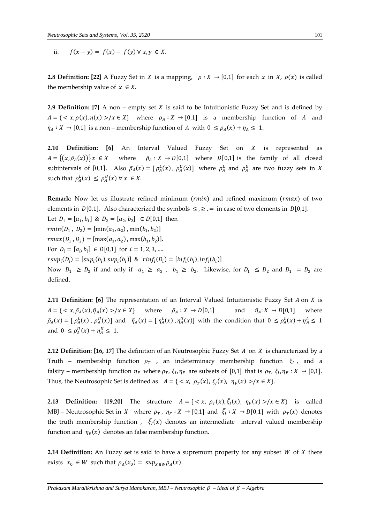ii.  $f(x - y) = f(x) - f(y) \forall x, y \in X$ .

**2.8 Definition: [22]** A Fuzzy Set in *X* is a mapping,  $\rho : X \to [0,1]$  for each *x* in *X*,  $\rho(x)$  is called the membership value of  $x \in X$ .

**2.9 Definition:** [7] A non – empty set  $X$  is said to be Intuitionistic Fuzzy Set and is defined by  $A = \{ \langle x, \rho(x), \eta(x) \rangle / x \in X \}$  where  $\rho_A : X \to [0,1]$  is a membership function of A and  $\eta_A: X \to [0,1]$  is a non – membership function of A with  $0 \le \rho_A(x) + \eta_A \le 1$ .

**2.10 Definition:** [6] An Interval Valued Fuzzy Set on *X* is represented as  $A = \{(x, \bar{\rho}_A(x))\}\,x \in X$ where  $\bar{p}_A: X \rightarrow D[0,1]$  where  $D[0,1]$  is the family of all closed subintervals of [0,1]. Also  $\bar{\rho}_A(x) = [\rho_A^L(x), \rho_A^U(x)]$  where  $\rho_A^L$  and  $\rho_A^U$  are two fuzzy sets in X such that  $\rho_A^L(x) \leq \rho_A^U(x) \forall x \in X$ .

**Remark:** Now let us illustrate refined minimum ( $rmin$ ) and refined maximum ( $rmax$ ) of two elements in  $D[0,1]$ . Also characterized the symbols  $\leq, \geq, =$  in case of two elements in  $D[0,1]$ . Let  $D_1 = [a_1, b_1]$  &  $D_2 = [a_2, b_2] \in D[0,1]$  then  $rmin(D_1, D_2) = [min(a_1, a_2), min(b_1, b_2)]$  $rmax(D_1, D_2) = [max(a_1, a_2), max(b_1, b_2)].$ For  $D_i = [a_i, b_i] \in D[0,1]$  for  $i = 1, 2, 3, ...$  $rsup_i(D_i) = [sup_i(b_i), sup_i(b_i)]$  &  $rinf_i(D_i) = [inf_i(b_i), inf_i(b_i)]$ Now  $D_1 \geq D_2$  if and only if  $a_1 \geq a_2$ ,  $b_1 \geq b_2$ . Likewise, for  $D_1 \leq D_2$  and  $D_1 = D_2$  are defined.

**2.11 Definition: [6]** The representation of an Interval Valued Intuitionistic Fuzzy Set A on X is  $A = \{ \langle x, \bar{\rho}_A(x), \bar{\eta}_A(x) \rangle / x \in X \}$  where  $\bar{\rho}_A : X \to D[0,1]$  and  $\bar{\eta}_A : X \to D[0,1]$  where  $\bar{\rho}_A(x) = [\rho_A^L(x), \rho_A^U(x)]$  and  $\bar{\eta}_A(x) = [\eta_A^L(x), \eta_A^U(x)]$  with the condition that  $0 \leq \rho_A^L(x) + \eta_A^L \leq 1$ and  $0 \leq \rho_A^U(x) + \eta_A^U \leq 1$ .

**2.12 Definition: [16, 17]** The definition of an Neutrosophic Fuzzy Set A on X is characterized by a Truth – membership function  $\rho_T$  , an indeterminacy membership function  $\xi_I$ , and a falsity – membership function  $\eta_F$  where  $\rho_T$ ,  $\xi_I$ ,  $\eta_F$  are subsets of [0,1] that is  $\rho_T$ ,  $\xi_I$ ,  $\eta_F : X \to [0,1]$ . Thus, the Neutrosophic Set is defined as  $A = \{ \langle x, \rho_T(x), \xi_I(x), \eta_F(x) \rangle / x \in X \}.$ 

**2.13 Definition:** [19,20] The structure  $A = \{ \langle x, \rho_T(x), \overline{\xi}_I(x), \eta_F(x) \rangle | x \in X \}$  is called MBJ – Neutrosophic Set in X where  $\rho_T$ ,  $\eta_F : X \to [0,1]$  and  $\bar{\xi}_I : X \to D[0,1]$  with  $\rho_T(x)$  denotes the truth membership function ,  $\bar{\xi}_I(x)$  denotes an intermediate interval valued membership function and  $\eta_F(x)$  denotes an false membership function.

**2.14 Definition:** An Fuzzy set is said to have a supremum property for any subset  $W$  of  $X$  there exists  $x_0 \in W$  such that  $\rho_A(x_0) = \sup_{x \in W} \rho_A(x)$ .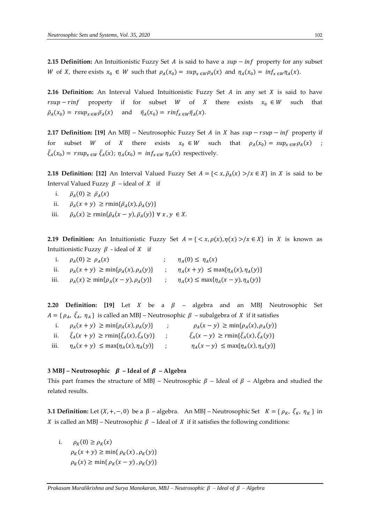**2.15 Definition:** An Intuitionistic Fuzzy Set A is said to have a  $sup - inf$  property for any subset W of X, there exists  $x_0 \in W$  such that  $\rho_A(x_0) = \sup_{x \in W} \rho_A(x)$  and  $\eta_A(x_0) = \inf_{x \in W} \eta_A(x)$ .

**2.16 Definition:** An Interval Valued Intuitionistic Fuzzy Set  $A$  in any set  $X$  is said to have  $rsup-rinf$  property if for subset *W* of *X* there exists  $x_0 \in W$  such that  $\bar{p}_A(x_0) = r s u p_{x \in W} \bar{p}_A(x)$  and  $\bar{\eta}_A(x_0) = r i n f_{x \in W} \bar{\eta}_A(x)$ .

**2.17 Definition:** [19] An MBJ – Neutrosophic Fuzzy Set A in X has  $sup - rsup - inf$  property if for subset *W* of *X* there exists  $x_0 \in W$  such that  $\rho_A(x_0) = \sup_{x \in W} \rho_A(x)$  ;  $\bar{\xi}_A(x_0) = r \sup_{x \in W} \bar{\xi}_A(x); \eta_A(x_0) = i n f_{x \in W} \eta_A(x)$  respectively.

**2.18 Definition: [12]** An Interval Valued Fuzzy Set  $A = \{ \langle x, \bar{\rho}_A(x) \rangle | x \in X \}$  in X is said to be Interval Valued Fuzzy  $\beta$  – ideal of X if

- i.  $\bar{\rho}_A(0) \ge \bar{\rho}_A(x)$
- ii.  $\bar{\rho}_A(x+y) \geq r \min{\{\bar{\rho}_A(x), \bar{\rho}_A(y)\}}$
- iii.  $\bar{\rho}_A(x) \ge \min\{\bar{\rho}_A(x-y), \bar{\rho}_A(y)\} \forall x, y \in X.$

**2.19 Definition:** An Intuitionistic Fuzzy Set  $A = \{ \langle x, \rho(x), \eta(x) \rangle / x \in X \}$  in X is known as Intuitionistic Fuzzy  $\beta$  - ideal of X if

i.  $\rho_A(0) \geq \rho_A(x)$ (x)  $\eta_A(0) \leq \eta_A(x)$ ii.  $\rho_A(x + y) \ge \min\{\rho_A(x), \rho_A(y)\}$  ;  $\eta_A(x + y) \le \max\{\eta_A(x), \eta_A(y)\}$ iii.  $\rho_A(x) \ge \min\{\rho_A(x - y), \rho_A(y)\}$  ;  $\eta_A(x) \le \max\{\eta_A(x - y), \eta_A(y)\}$ 

**2.20 Definition:** [19] Let *X* be a  $\beta$  – algebra and an MBJ Neutrosophic Set  $A = \{ \rho_A, \ \bar{\zeta}_A, \ \eta_A \}$  is called an MBJ – Neutrosophic  $\beta$  – subalgebra of X if it satisfies

|      | i. $\rho_A(x + y) \ge \min\{\rho_A(x), \rho_A(y)\}\$                   | $\rho_A(x - y) \geq \min\{\rho_A(x), \rho_A(y)\}\$                |
|------|------------------------------------------------------------------------|-------------------------------------------------------------------|
|      | ii. $\bar{\xi}_A(x+y) \geq r \min{\{\bar{\xi}_A(x), \bar{\xi}_A(y)\}}$ | $\bar{\xi}_A(x-y) \geq r \min\{\bar{\xi}_A(x), \bar{\xi}_A(y)\}\$ |
| iii. | $\eta_A(x+y) \leq \max\{\eta_A(x), \eta_A(y)\}\$                       | $\eta_A(x-y) \leq \max\{\eta_A(x), \eta_A(y)\}\$                  |

#### **3 MBJ** – **Neutrosophic**  $\beta$  – **Ideal of**  $\beta$  – **Algebra**

This part frames the structure of MBJ – Neutrosophic  $\beta$  – Ideal of  $\beta$  – Algebra and studied the related results.

**3.1 Definition:** Let  $(X, +, -, 0)$  be a  $\beta$  – algebra. An MBJ – Neutrosophic Set  $K = \{ \rho_K, \bar{\xi}_K, \eta_K \}$  in X is called an MBJ – Neutrosophic  $\beta$  – Ideal of X if it satisfies the following conditions:

i.  $\rho_K(0) \ge \rho_K(x)$  $\rho_K(x + y) \ge \min\{\rho_K(x), \rho_K(y)\}\$  $\rho_K(x) \ge \min\{ \rho_K(x - y)$ ,  $\rho_K(y) \}$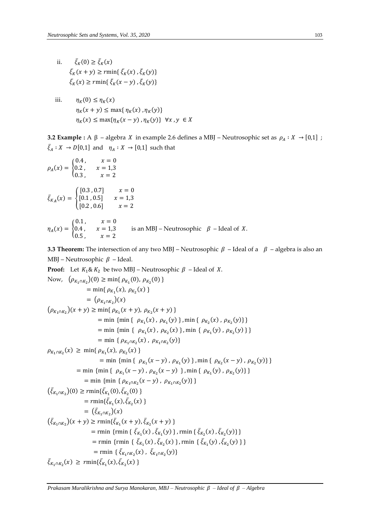- ii.  $\bar{\xi}_K(0) \ge \bar{\xi}_K(x)$  $\bar{\xi}_K(x+y) \geq r \min\{\bar{\xi}_K(x), \bar{\xi}_K(y)\}\$  $\bar{\xi}_K(x) \geq r \min\{\bar{\xi}_K(x-y), \bar{\xi}_K(y)\}\$ 
	- iii.  $\eta_K(0) \leq \eta_K(x)$  $\eta_K(x + y) \le \max{\eta_K(x), \eta_K(y)}$  $\eta_K(x) \leq \max{\{\eta_K(x - y), \eta_K(y)\}} \forall x, y \in X$

**3.2 Example :** A β – algebra *X* in example 2.6 defines a MBJ – Neutrosophic set as  $ρ_A : X → [0,1]$ ;  $\bar{\xi}_A : X \to D[0,1]$  and  $\eta_A : X \to [0,1]$  such that

$$
\rho_A(x) = \begin{cases}\n0.4, & x = 0 \\
0.2, & x = 1,3 \\
0.3, & x = 2\n\end{cases}
$$
\n
$$
\bar{\xi}_{K_A}(x) = \begin{cases}\n[0.3, 0.7] & x = 0 \\
[0.1, 0.5] & x = 1,3 \\
[0.2, 0.6] & x = 2\n\end{cases}
$$
\n
$$
\eta_A(x) = \begin{cases}\n0.1, & x = 0 \\
0.4, & x = 1,3 \\
0.5, & x = 2\n\end{cases}
$$
 is an MBJ–Neutrosophic  $\beta$ –Ideal of X.

**3.3 Theorem:** The intersection of any two MBJ – Neutrosophic  $\beta$  – Ideal of a  $\beta$  – algebra is also an MBJ – Neutrosophic  $\beta$  – Ideal.

Proof: Let 
$$
K_1 \& K_2
$$
 be two MBJ – Neutrosophic  $\beta$  – Ideal of X.  
\nNow,  $(\rho_{K_1 \cap K_2})(0) \ge \min{\rho_{K_1}(0), \rho_{K_2}(0)}$   
\n $= \min{\rho_{K_1}(x), \rho_{K_2}(x)}$   
\n $= (\rho_{K_1 \cap K_2})(x)$   
\n $(\rho_{K_1 \cap K_2})(x + y) \ge \min{\rho_{K_1}(x + y), \rho_{K_2}(x + y) }$   
\n $= \min{\{\min{\rho_{K_1}(x), \rho_{K_1}(y), \rho_{K_2}(x), \rho_{K_2}(y)\}}}$   
\n $= \min{\{\min{\rho_{K_1}(x), \rho_{K_1}(y), \rho_{K_2}(x), \rho_{K_2}(y)\}}}$   
\n $= \min{\{\rho_{K_1 \cap K_2}(x), \rho_{K_1 \cap K_2}(y)\}}$   
\n $\rho_{K_1 \cap K_2}(x) \ge \min{\rho_{K_1}(x), \rho_{K_2}(x) }$   
\n $= \min{\{\min{\rho_{K_1}(x - y), \rho_{K_1}(y), \rho_{K_1}(y), \rho_{K_2}(y)\}}}$   
\n $= \min{\{\min{\rho_{K_1}(x - y), \rho_{K_1}(y), \rho_{K_1}(y), \rho_{K_2}(y)\}}}$   
\n $= \min{\{\min{\rho_{K_1 \cap K_2}(x - y), \rho_{K_1 \cap K_2}(y)\}}}$   
\n $(\bar{\xi}_{K_1 \cap K_2})(0) \ge r \min{\{\bar{\xi}_{K_1}(0), \bar{\xi}_{K_2}(0)\}}}$   
\n $= r \min{\{\bar{\xi}_{K_1}(x), \bar{\xi}_{K_2}(x)\}} = (\bar{\xi}_{K_1 \cap K_2})(x)$   
\n $= (\bar{\xi}_{K_1 \cap K_2})(x)$   
\n $= \min{\{\bar{\xi}_{K_1}(x), \bar{\xi}_{K_2}(x + y)\}}$   
\n $= \min{\{\bar{\xi}_{K_1}(x), \bar{\xi}_{K_2}(x), \rho_{K_1 \cap K_2}(y)\}}.$   
\n $= \min{\{\bar{\xi}_{K_1 \cap K_2}(x), \bar$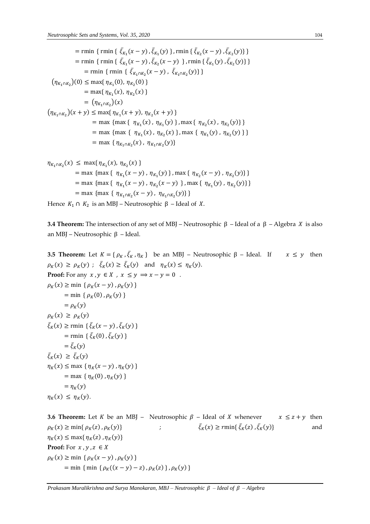= rmin { rmin {  $\bar{\xi}_{K_1}(x-y)$ ,  $\bar{\xi}_{K_1}(y)$  }, rmin {  $\bar{\xi}_{K_2}(x-y)$ ,  $\bar{\xi}_{K_2}(y)$ } } = rmin { rmin {  $\bar{\xi}_{K_1}(x-y)$ ,  $\bar{\xi}_{K_2}(x-y)$  }, rmin {  $\bar{\xi}_{K_1}(y)$ ,  $\bar{\xi}_{K_2}(y)$ } = rmin { rmin {  $\bar{\xi}_{K_1 \cap K_2}(x - y)$ ,  $\bar{\xi}_{K_1 \cap K_2}(y)$ } }  $(\eta_{K_1 \cap K_2})(0) \le \max{\eta_{K_1}(0), \eta_{K_2}(0)}$  $=$  max{ $\eta_{K_1}(x), \eta_{K_2}(x)$  }  $= (\eta_{K_1 \cap K_2})(x)$  $(\eta_{K_1 \cap K_2})(x + y) \le \max{\eta_{K_1}(x + y), \eta_{K_2}(x + y)}$ = max {  $\eta_{K_1}(x)$ ,  $\eta_{K_1}(y)$  }, max {  $\eta_{K_2}(x)$ ,  $\eta_{K_2}(y)$  } } = max {  $\eta_{K_1}(x)$ ,  $\eta_{K_2}(x)$ }, max {  $\eta_{K_1}(y)$ ,  $\eta_{K_2}(y)$ }} = max { $\eta_{K_1 \cap K_2}(x)$ ,  $\eta_{K_1 \cap K_2}(y)$ }

$$
\eta_{K_1 \cap K_2}(x) \le \max\{\eta_{K_1}(x), \eta_{K_2}(x)\}\
$$
  
= max {max { $\eta_{K_1}(x - y), \eta_{K_1}(y)$ }, max { $\eta_{K_2}(x - y), \eta_{K_2}(y)$ }}\}  
= max {max { $\eta_{K_1}(x - y), \eta_{K_2}(x - y)$ }, max { $\eta_{K_1}(y), \eta_{K_2}(y)$ }}  
= max {max { $\eta_{K_1 \cap K_2}(x - y), \eta_{K_1 \cap K_2}(y)$ }}

Hence  $K_1 \cap K_2$  is an MBJ – Neutrosophic β – Ideal of X.

**3.4 Theorem:** The intersection of any set of MBJ – Neutrosophic  $β$  – Ideal of a  $β$  – Algebra *X* is also an MBJ – Neutrosophic β – Ideal.

**3.5 Theorem:** Let  $K = \{ \rho_K, \bar{\zeta}_K, \eta_K \}$  be an MBJ – Neutrosophic  $\beta$  – Ideal. If  $x \leq y$  then  $\rho_K(x) \ge \rho_K(y)$ ;  $\bar{\xi}_K(x) \ge \bar{\xi}_K(y)$  and  $\eta_K(x) \le \eta_K(y)$ . **Proof:** For any  $x, y \in X$ ,  $x \leq y \implies x - y = 0$ .  $\rho_K(x) \ge \min \{ \rho_K(x - y), \rho_K(y) \}$  $=$  min {  $\rho_K(0)$ ,  $\rho_K(y)$  }  $= \rho_K(y)$  $\rho_K(x) \ge \rho_K(y)$  $\bar{\xi}_K(x) \ge \text{rmin} \{ \bar{\xi}_K(x - y), \bar{\xi}_K(y) \}$  $=$  rmin { $\bar{\xi}_K(0)$ ,  $\bar{\xi}_K(y)$ }  $= \bar{\xi}_K(y)$  $\bar{\xi}_K(x) \geq \bar{\xi}_K(y)$  $\eta_K(x) \leq \max \{ \eta_K(x - y), \eta_K(y) \}$  $=$  max {  $\eta_K(0)$ ,  $\eta_K(y)$ }  $= \eta_K(y)$  $\eta_K(x) \leq \eta_K(y)$ .

**3.6 Theorem:** Let *K* be an MBJ – Neutrosophic  $\beta$  – Ideal of *X* whenever  $x \leq z + y$  then  $\rho_K(x) \ge \min\{\rho_K(z), \rho_K(y)\}\;$  ;  $\bar{\xi}_K(x) \geq r \min\{\bar{\xi}_K(z), \bar{\xi}_K(y)\}$  and  $\eta_K(x) \leq \max\{\eta_K(z), \eta_K(y)\}\$ **Proof:** For  $x, y, z \in X$  $\rho_K(x) \ge \min \{ \rho_K(x - y), \rho_K(y) \}$ = min { min {  $\rho_K((x - y) - z)$ ,  $\rho_K(z)$  },  $\rho_K(y)$  }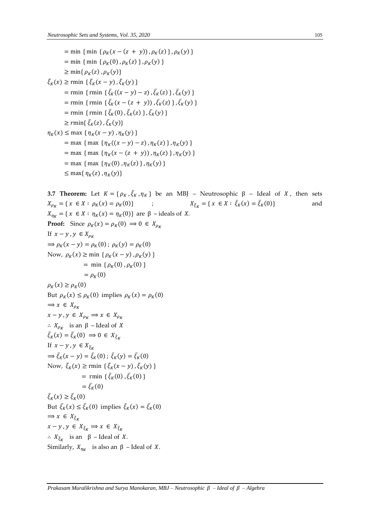$$
= \min \{ \min \{ \rho_K(x - (z + y)), \rho_K(z) \}, \rho_K(y) \}
$$
  
\n
$$
= \min \{ \min \{ \rho_K(0), \rho_K(z) \}, \rho_K(y) \}
$$
  
\n
$$
\geq \min \{ \rho_K(z), \rho_K(y) \}
$$
  
\n
$$
\bar{\xi}_K(x) \geq \min \{ \bar{\xi}_K(x - y), \bar{\xi}_K(y) \}
$$
  
\n
$$
= \min \{ \min \{ \bar{\xi}_K((x - y) - z), \bar{\xi}_K(z) \}, \bar{\xi}_K(y) \}
$$
  
\n
$$
= \min \{ \min \{ \bar{\xi}_K(x - (z + y)), \bar{\xi}_K(z) \}, \bar{\xi}_K(y) \}
$$
  
\n
$$
\geq \min \{ \bar{\xi}_K(z), \bar{\xi}_K(y) \}
$$
  
\n
$$
\geq \min \{ \bar{\xi}_K(z), \bar{\xi}_K(y) \}
$$
  
\n
$$
= \max \{ \eta_K(x - y), \eta_K(y) \}
$$
  
\n
$$
= \max \{ \max \{ \eta_K(x - (z + y)), \eta_K(z) \}, \eta_K(y) \}
$$
  
\n
$$
= \max \{ \max \{ \eta_K(x - (z + y)), \eta_K(z) \}, \eta_K(y) \}
$$
  
\n
$$
= \max \{ \max \{ \eta_K(0), \eta_K(z) \}, \eta_K(y) \}
$$
  
\n
$$
\leq \max \{ \eta_K(z), \eta_K(y) \}
$$

**3.7 Theorem:** Let  $K = \{ \rho_K, \bar{\zeta}_K, \eta_K \}$  be an MBJ – Neutrosophic  $\beta$  – Ideal of *X*, then sets  $X_{\rho_K} = \{ x \in X : \rho_K(x) = \rho_K(0) \}$  ;  $= \{ x \in X : \bar{\xi}_K(x) = \bar{\xi}_K(0) \}$  and  $X_{\eta_K} = \{ x \in X : \eta_K(x) = \eta_K(0) \}$  are  $\beta$  – ideals of X. **Proof:** Since  $\rho_K(x) = \rho_K(0) \implies 0 \in X_{\rho_K}$ If  $x - y$ ,  $y \in X_{\rho_K}$  $\Rightarrow \rho_K(x - y) = \rho_K(0)$ ;  $\rho_K(y) = \rho_K(0)$ Now,  $\rho_K(x) \ge \min \{ \rho_K(x - y), \rho_K(y) \}$  $=$  min { $\rho_K(0)$ ,  $\rho_K(0)$ }  $= \rho_K(0)$  $\rho_K(x) \geq \rho_K(0)$ But  $\rho_K(x) \le \rho_K(0)$  implies  $\rho_K(x) = \rho_K(0)$  $\Rightarrow$   $x \in X_{\rho_K}$  $x - y$ ,  $y \in X_{\rho_K} \Longrightarrow x \in X_{\rho_K}$ ∴  $X_{\rho_K}$  is an β – Ideal of X  $\bar{\xi}_K(x) = \bar{\xi}_K(0) \implies 0 \in X_{\bar{\xi}_K}$ If  $x - y$ ,  $y \in X_{\bar{\varepsilon}_V}$  $\Rightarrow \bar{\xi}_K(x-y) = \bar{\xi}_K(0)$ ;  $\bar{\xi}_K(y) = \bar{\xi}_K(0)$ Now,  $\bar{\xi}_K(x) \ge \text{rmin} \left\{ \bar{\xi}_K(x-y), \bar{\xi}_K(y) \right\}$  $=$  rmin { $\bar{\xi}_K(0)$ ,  $\bar{\xi}_K(0)$ }  $= \bar{\xi}_K(0)$  $\bar{\xi}_K(x) \geq \bar{\xi}_K(0)$ But  $\bar{\xi}_K(x) \leq \bar{\xi}_K(0)$  implies  $\bar{\xi}_K(x) = \bar{\xi}_K(0)$  $\Rightarrow$   $x \in X_{\bar{\xi}_K}$  $x - y$ ,  $y \in X_{\bar{\xi}_K} \implies x \in X_{\bar{\xi}_K}$ ∴  $X_{\bar{\xi}_K}$  is an β – Ideal of X. Similarly,  $X_{\eta_K}$  is also an  $\beta$  – Ideal of X.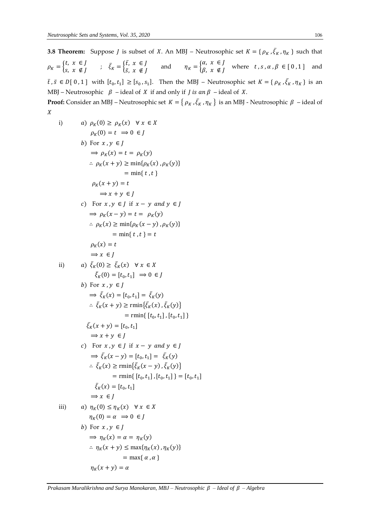**3.8 Theorem:** Suppose *J* is subset of *X*. An MBJ – Neutrosophic set  $K = \{ \rho_K, \bar{\xi}_K, \eta_K \}$  such that  $\rho_K = \begin{cases} t, & x \in J \\ s, & x \notin J \end{cases}$ t,  $x \in J$ <br>  $s, x \notin J$  ;  $\bar{\xi}_K = \begin{cases} \bar{t}, & x \in J \\ \bar{s}, & x \notin J \end{cases}$  $\overline{t}$ ,  $x \in J$ <br>  $\overline{s}$ ,  $x \notin J$  and  $\eta_K = \begin{cases} \alpha, & \text{if } K \leq J \\ \beta, & \text{if } K \leq J \end{cases}$  $\beta$ ,  $x \notin J$  where  $t, s, \alpha, \beta \in [0,1]$  and  $\bar{t}$ ,  $\bar{s} \in D[0,1]$  with  $[t_0,t_1] \geq [s_0,s_1]$ . Then the MBJ – Neutrosophic set  $K = \{ \rho_K, \bar{\zeta}_K, \eta_K \}$  is an MBJ – Neutrosophic  $\beta$  – ideal of X if and only if *J* is an  $\beta$  – ideal of X. **Proof:** Consider an MBJ – Neutrosophic set  $K = \{ \rho_K, \bar{\xi}_K, \eta_K \}$  is an MBJ - Neutrosophic  $\beta$  – ideal of

x  
\ni) 
$$
a) \rho_K(0) \ge \rho_K(x) \forall x \in X
$$
  
\n $\rho_K(0) = t \Rightarrow 0 \in J$   
\nb) For  $x, y \in J$   
\n $\Rightarrow \rho_K(x) = t = \rho_K(y)$   
\n $\therefore \rho_K(x + y) \ge \min{\rho_K(x), \rho_K(y)}$   
\n $= \min{\{t, t\}}$   
\n $\rho_K(x + y) = t$   
\n $\Rightarrow x + y \in J$   
\nc) For  $x, y \in J$  if  $x - y$  and  $y \in J$   
\n $\Rightarrow \rho_K(x - y) = t = \rho_K(y)$   
\n $\therefore \rho_K(x) \ge \min{\rho_K(x - y), \rho_K(y)}$   
\n $= \min{\{t, t\}} = t$   
\n $\rho_K(x) = t$   
\n $\Rightarrow x \in J$   
\nii)  $a) \xi_K(0) \ge \xi_K(x) \forall x \in X$   
\n $\xi_K(0) = [t_0, t_1] \Rightarrow 0 \in J$   
\nb) For  $x, y \in J$   
\n $\Rightarrow \xi_K(x) = [t_0, t_1] = \xi_K(y)$   
\n $\therefore \xi_K(x + y) \ge \min{\{\xi_K(x), \xi_K(y)\}}$   
\n $= \min{\{t_0, t_1\}, [t_0, t_1]\}$   
\n $\Rightarrow x + y \in J$   
\nc) For  $x, y \in J$  if  $x - y$  and  $y \in J$   
\n $\Rightarrow \xi_K(x - y) = [t_0, t_1] = \xi_K(y)$   
\n $\therefore \xi_K(x) \ge \text{rmin}\{\xi_K(x - y), \xi_K(y)\}$   
\n $= \text{rmin}\{t_0, t_1\}, [t_0, t_1]\} = [t_0, t_1]$   
\n $\Rightarrow x \in J$   
\nii)  $a) \eta_K(0) \le \eta_K(x) \forall x \in X$   
\n $\eta_K(0) = a \Rightarrow 0 \in J$   
\nb) For  $x, y \in J$   
\n $\Rightarrow \eta_K(x) = \alpha = \eta_K(y)$   
\n $\therefore \eta_K$ 

 $\eta_K(x + y) = \alpha$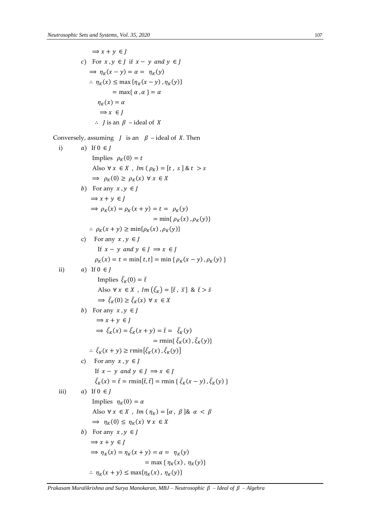$$
\Rightarrow x + y \in J
$$
  
\nc) For  $x, y \in J$  if  $x - y$  and  $y \in J$   
\n
$$
\Rightarrow \eta_K(x - y) = \alpha = \eta_K(y)
$$
  
\n
$$
\therefore \eta_K(x) \le \max{\eta_K(x - y), \eta_K(y)}
$$
  
\n
$$
= \max{\alpha, \alpha} = \alpha
$$
  
\n
$$
\eta_K(x) = \alpha
$$
  
\n
$$
\Rightarrow x \in J
$$
  
\n
$$
\therefore J \text{ is an } \beta \text{ - ideal of } X
$$

Conversely, assuming  $J$  is an  $\beta$  – ideal of X. Then

i)   
\na) If 
$$
0 \in J
$$
  
\nImplies  $\rho_K(0) = t$   
\nAlso  $\forall x \in X$ , Im  $(\rho_K) = [t, s] \& t > s$   
\n $\Rightarrow \rho_K(0) \ge \rho_K(x) \forall x \in X$   
\nb) For any  $x, y \in J$   
\n $\Rightarrow x + y \in J$   
\n $\Rightarrow \rho_K(x) = \rho_K(x + y) = t = \rho_K(y)$   
\n $= \min{\rho_K(x), \rho_K(y)}$   
\nc) For any  $x, y \in J$   
\nIf  $x - y$  and  $y \in J \Rightarrow x \in J$   
\n $\rho_K(x) = t = \min[t, t] = \min{\rho_K(x - y), \rho_K(y)}$   
\nii)   
\na) If  $0 \in J$   
\nImplies  $\bar{\xi}_K(0) = \bar{t}$   
\nAlso  $\forall x \in X$ , Im  $(\bar{\xi}_K) = [\bar{t}, \bar{s}] \& \bar{t} > \bar{s}$   
\n $\Rightarrow \bar{\xi}_K(0) \ge \bar{\xi}_K(x) \forall x \in X$   
\nb) For any  $x, y \in J$   
\n $\Rightarrow x + y \in J$   
\n $\Rightarrow \bar{\xi}_K(x) = \bar{\xi}_K(x + y) = \bar{t} = \bar{\xi}_K(y)$   
\n $= \min{\{\bar{\xi}_K(x), \bar{\xi}_K(y)\}}$   
\nc) For any  $x, y \in J$   
\nIf  $x - y$  and  $y \in J \Rightarrow x \in J$   
\nIf  $x - y$  and  $y \in J \Rightarrow x \in J$   
\nIf  $x - y$  and  $y \in J \Rightarrow x \in J$   
\nIf  $x - y$  and  $y \in J \Rightarrow x \in J$   
\nIf  $x = y$  and  $y \in J \Rightarrow x \in J$   
\nIf  $x = y$  and  $y \in J \Rightarrow x \in J$   
\nIf  $x = y$  and  $y \in J \Rightarrow x \in J$   
\nIf  $x = y$  and  $y \in J \Rightarrow x \in J$   
\nIf  $x = y$  and  $y \in J \Rightarrow x \in$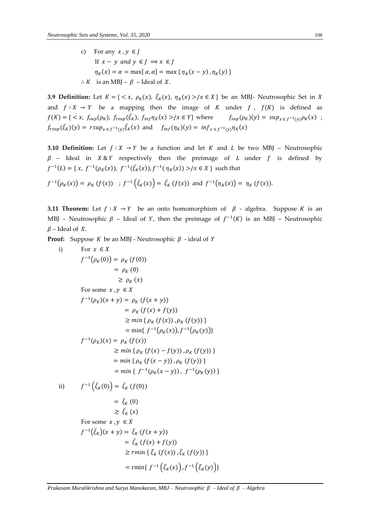c) For any  $x, y \in I$ If  $x - y$  and  $y \in J \implies x \in J$  $\eta_K(x) = \alpha = \max[\alpha, \alpha] = \max\{\eta_K(x - y), \eta_K(y)\}\$ ∴ *K* is an MBJ –  $\beta$  – Ideal of *X*.

**3.9 Definition:** Let  $K = \{ \langle x, \rho_K(x), \overline{\xi_K}(x), \eta_K(x) \rangle \mid x \in X \}$  be an MBJ- Neutrosophic Set in X and  $f: X \to Y$  be a mapping then the image of K under f,  $f(K)$  is defined as  $f(K) = \{ \langle x, f_{\text{sup}}(\rho_K), f_{\text{sup}}(\bar{\xi}_K), f_{\text{inf}} \eta_K(x) \rangle / x \in Y \}$  where  $f_{\text{sup}}(\rho_K)(y) = \sup_{x \in f^{-1}(y)} \rho_K(x)$ ;  $f_{rsup}(\bar{\zeta}_K)(y) = rsup_{x \in f^{-1}(y)}\bar{\zeta}_K(x)$  and  $f_{inf}(\eta_K)(y) = inf_{x \in f^{-1}(y)}\eta_K(x)$ 

**3.10 Definition:** Let  $f : X \to Y$  be a function and let K and L be two MBJ – Neutrosophic  $\beta$  – Ideal in X&Y respectively then the preimage of *L* under *f* is defined by  $f^{-1}(L) = \{x, f^{-1}(\rho_K(x)), f^{-1}(\bar{\zeta}_K(x)), f^{-1}(\eta_K(x)) > / x \in X\}$  such that

$$
f^{-1}(\rho_K(x)) = \rho_K(f(x))
$$
;  $f^{-1}(\bar{\xi}_K(x)) = \bar{\xi}_K(f(x))$  and  $f^{-1}(\eta_K(x)) = \eta_K(f(x))$ .

**3.11 Theorem:** Let  $f : X \to Y$  be an onto homomorphism of  $\beta$  - algebra. Suppose K is an MBJ – Neutrosophic  $\beta$  – Ideal of Y, then the preimage of  $f^{-1}(K)$  is an MBJ – Neutrosophic  $\beta$  – Ideal of X.

**Proof:** Suppose *K* be an MBJ - Neutrosophic  $\beta$  - ideal of *Y* 

i) For 
$$
x \in X
$$
  
\n $f^{-1}(\rho_K(0)) = \rho_K(f(0))$   
\n $= \rho_K(0)$   
\n $\ge \rho_K(x)$   
\nFor some  $x, y \in X$   
\n $f^{-1}(\rho_K)(x + y) = \rho_K(f(x + y))$   
\n $= \rho_K(f(x) + f(y))$   
\n $\ge \min{\rho_K(f(x)), \rho_K(f(y))}$   
\n $= \min{\{f^{-1}(\rho_K(x)), f^{-1}(\rho_K(y))\}}$   
\n $f^{-1}(\rho_K)(x) = \rho_K(f(x))$   
\n $\ge \min{\rho_K(f(x) - f(y)), \rho_K(f(y))}$   
\n $= \min{\rho_K(f(x - y)), \rho_K(f(y))}$   
\n $= \min{\{f^{-1}(\rho_K(x - y)), f^{-1}(\rho_K(y))\}}$   
\nii)  $f^{-1}(\bar{\xi}_K(0)) = \bar{\xi}_K(f(0))$   
\n $= \bar{\xi}_K(0)$   
\n $\ge \bar{\xi}_K(x)$   
\nFor some  $x, y \in X$   
\n $f^{-1}(\bar{\xi}_K)(x + y) = \bar{\xi}_K(f(x + y))$ 

$$
\geq \xi_K(x)
$$
  
For some  $x, y \in X$   

$$
f^{-1}(\bar{\xi}_K)(x + y) = \bar{\xi}_K (f(x + y))
$$

$$
= \bar{\xi}_K (f(x) + f(y))
$$

$$
\geq rmin \{ \bar{\xi}_K (f(x)), \bar{\xi}_K (f(y)) \}
$$

$$
= \min\{ f^{-1}\left(\bar{\xi}_K(x)\right), f^{-1}\left(\bar{\xi}_K(y)\right)\}
$$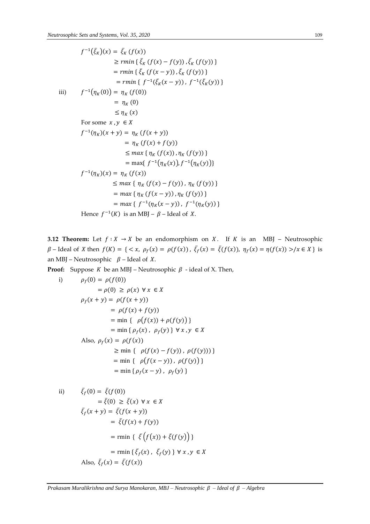$$
f^{-1}(\bar{\xi}_K)(x) = \bar{\xi}_K (f(x))
$$
  
\n
$$
\geq rmin \{ \bar{\xi}_K (f(x) - f(y)), \bar{\xi}_K (f(y)) \}
$$
  
\n
$$
= rmin \{ \bar{\xi}_K (f(x - y)), \bar{\xi}_K (f(y)) \}
$$
  
\n
$$
= rmin \{ f^{-1}(\bar{\xi}_K(x - y)), f^{-1}(\bar{\xi}_K(y)) \}
$$
  
\n
$$
= \eta_K (0)
$$
  
\n
$$
\leq \eta_K (x)
$$
  
\nFor some  $x, y \in X$   
\n
$$
f^{-1}(\eta_K)(x + y) = \eta_K (f(x + y))
$$
  
\n
$$
= \eta_K (f(x) + f(y))
$$
  
\n
$$
\leq max \{ \eta_K (f(x)), \eta_K (f(y)) \}
$$
  
\n
$$
= max \{ f^{-1}(\eta_K(x)), f^{-1}(\eta_K(y)) \}
$$
  
\n
$$
f^{-1}(\eta_K)(x) = \eta_K (f(x))
$$
  
\n
$$
\leq max \{ \eta_K (f(x) - f(y)), \eta_K (f(y)) \}
$$
  
\n
$$
= max \{ f^{-1}(\eta_K(x - y)), f^{-1}(\eta_K(y)) \}
$$
  
\n
$$
= max \{ f^{-1}(\eta_K(x - y)), f^{-1}(\eta_K(y)) \}
$$
  
\n
$$
= max \{ f^{-1}(\eta_K(x - y)), f^{-1}(\eta_K(y)) \}
$$
  
\nHence  $f^{-1}(K)$  is an MBJ –  $\beta$ - Ideal of X.

**3.12 Theorem:** Let  $f : X \to X$  be an endomorphism on X. If K is an MBJ – Neutrosophic  $\beta$  – Ideal of X then  $f(K) = \{ \langle x, \rho_f(x) = \rho(f(x)) , \bar{\xi}_f(x) = \bar{\xi}(f(x)), \eta_f(x) = \eta(f(x)) \rangle \mid x \in X \}$  is an MBJ – Neutrosophic  $\beta$  – Ideal of *X*.

**Proof:** Suppose *K* be an MBJ – Neutrosophic  $\beta$  - ideal of *X*. Then,

i) 
$$
\rho_f(0) = \rho(f(0))
$$

$$
= \rho(0) \ge \rho(x) \forall x \in X
$$

$$
\rho_f(x + y) = \rho(f(x + y))
$$

$$
= \rho(f(x) + f(y))
$$

$$
= \min \{ \rho(f(x)) + \rho(f(y)) \}
$$

$$
= \min \{ \rho_f(x), \rho_f(y) \} \forall x, y \in X
$$
Also, 
$$
\rho_f(x) = \rho(f(x))
$$

$$
\ge \min \{ \rho(f(x) - f(y)), \rho(f(y)) \}
$$

$$
= \min \{ \rho(f(x - y)), \rho(f(y)) \}
$$

$$
= \min \{ \rho_f(x - y), \rho_f(y) \}
$$

ii) 
$$
\bar{\xi}_f(0) = \bar{\xi}(f(0))
$$

$$
= \bar{\xi}(0) \ge \bar{\xi}(x) \forall x \in X
$$

$$
\bar{\xi}_f(x + y) = \bar{\xi}(f(x + y))
$$

$$
= \bar{\xi}(f(x) + f(y))
$$

$$
= \min \{ \bar{\xi}(f(x)) + \bar{\xi}(f(y)) \}
$$

$$
= \min \{ \bar{\xi}_f(x), \bar{\xi}_f(y) \} \forall x, y \in X
$$
Also,  $\bar{\xi}_f(x) = \bar{\xi}(f(x))$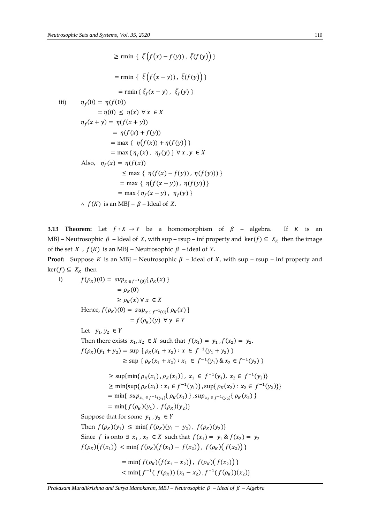$\geq$  rmin {  $\xi(f(x) - f(y))$ ,  $\xi(f(y))$ } = rmin {  $\bar{\xi} \left( f(x - y) \right)$ ,  $\bar{\xi}(f(y))$  }  $=$  rmin {  $\bar{\xi}_f(x-y)$  ,  $\bar{\xi}_f(y)$  } iii)  $\eta_f(0) = \eta(f(0))$  $= \eta(0) \leq \eta(x) \forall x \in X$  $\eta_f(x + y) = \eta(f(x + y))$  $= \eta(f(x) + f(y))$  $=$  max {  $\eta(f(x)) + \eta(f(y))$  }  $=$  max {  $\eta_f(x)$  ,  $\eta_f(y)$  }  $\forall x, y \in X$ Also,  $\eta_f(x) = \eta(f(x))$  $\leq$  max {  $\eta(f(x) - f(y))$ ,  $\eta(f(y))$ }  $=$  max {  $\eta(f(x - y))$ ,  $\eta(f(y))$ }  $=$  max {  $\eta_f(x - y)$ ,  $\eta_f(y)$  } ∴  $f(K)$  is an MBJ –  $\beta$  – Ideal of X.

**3.13 Theorem:** Let  $f : X \to Y$  be a homomorphism of  $\beta$  – algebra. If K is an MBJ – Neutrosophic  $\beta$  – Ideal of X, with sup – rsup – inf property and ker(f)  $\subseteq X_K$  then the image of the set  $K$ ,  $f(K)$  is an MBJ – Neutrosophic  $\beta$  – ideal of Y.

**Proof:** Suppose *K* is an MBJ – Neutrosophic  $\beta$  – Ideal of *X*, with sup – rsup – inf property and  $ker(f)$  ⊆  $X_K$  then

$$
f(\rho_K)(0) = \sup_{x \in f^{-1}(0)} \{ \rho_K(x) \}
$$
  
\n
$$
= \rho_K(0)
$$
  
\n
$$
\ge \rho_K(x) \forall x \in X
$$
  
\nHence,  $f(\rho_K)(0) = \sup_{x \in f^{-1}(0)} \{ \rho_K(x) \}$   
\n
$$
= f(\rho_K)(y) \forall y \in Y
$$
  
\nLet  $y_1, y_2 \in Y$   
\nThen there exists  $x_1, x_2 \in X$  such that  $f(x_1) = y_1, f(x_2) = y_2$ .  
\n $f(\rho_K)(y_1 + y_2) = \sup \{ \rho_K(x_1 + x_2) : x \in f^{-1}(y_1 + y_2) \}$   
\n
$$
\ge \sup \{ \rho_K(x_1 + x_2) : x_1 \in f^{-1}(y_1) \& x_2 \in f^{-1}(y_2) \}
$$
  
\n
$$
\ge \sup \{ \rho_K(x_1), \rho_K(x_2) \}, x_1 \in f^{-1}(y_1), x_2 \in f^{-1}(y_2) \}
$$
  
\n
$$
\ge \min \{ \sup \{ \rho_K(x_1) : x_1 \in f^{-1}(y_1) \}, \sup \{ \rho_K(x_2) : x_2 \in f^{-1}(y_2) \}
$$
  
\n
$$
\ge \min \{ \sup \{ \rho_K(x_1) : x_1 \in f^{-1}(y_1) \}, \sup_{x \in f^{-1}(y_2) \in f^{-1}(y_2) \}
$$
  
\n
$$
= \min \{ \sup_{x \in f^{-1}(y_1)} \{ \rho_K(x_1) \}, \sup_{x \in f^{-1}(y_2)} \{ \rho_K(x_2) \}
$$
  
\n
$$
= \min \{ f(\rho_K)(y_1), f(\rho_K)(y_2) \}
$$
  
\nSuppose that for some  $y_1, y_2 \in Y$   
\nThen  $f(\rho_K)(y_1) \le \min \{ f(\rho_K)(y_1 - y_2), f(\rho_K)(y_2) \}$   
\nSince  $f$  is onto  $\exists x_1, x_2 \in X$  such that  $f(x_1) = y_1 \& f(x_2) = y_2$   
\n $f(\rho_K)(f(x_1$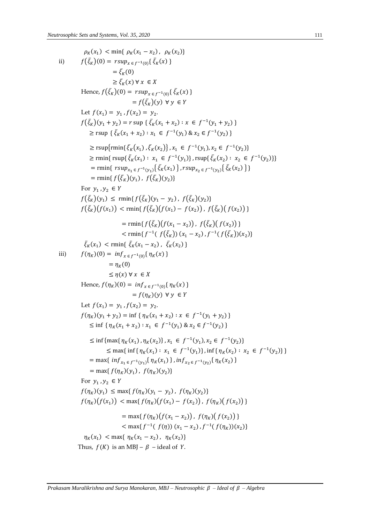$$
\rho_K(x_1) < \min\{ \rho_K(x_1 - x_2), \rho_K(x_2) \}
$$
\n
$$
f(\bar{\xi}_K)(0) = \text{r} \cdot \text{sn} \cdot \text{gr}(\bar{\xi}_K(x))
$$
\n
$$
= \bar{\xi}_K(0) \cdot \text{sr} \cdot \text{sr} \cdot \text{gr}(\bar{\xi}_K(x))
$$
\n
$$
= f(\bar{\xi}_K)(0) \cdot \text{sr} \cdot \text{sr} \cdot \text{gr}(\bar{\xi}_K(x))
$$
\n
$$
= f(\bar{\xi}_K)(0) \cdot \text{sr} \cdot \text{sr} \cdot \text{gr}(\bar{\xi}_K(x))
$$
\n
$$
= f(\bar{\xi}_K)(0) \cdot \text{sr} \cdot \text{gr}(\bar{\xi}_K(x_1 + x_2) \cdot x \in f^{-1}(y_1 + y_2))
$$
\n
$$
\geq \text{r} \cdot \text{sr} \cdot (\bar{\xi}_K(x_1 + x_2) \cdot x_1 \in f^{-1}(y_1) \& x_2 \in f^{-1}(y_2))
$$
\n
$$
\geq \text{r} \cdot \text{sr} \cdot \text{gr}(\bar{\xi}_K(x_1) \cdot \bar{\xi}_K(x_2)) \cdot x_1 \in f^{-1}(y_1) \cdot x_2 \in f^{-1}(y_2))
$$
\n
$$
\geq \text{r} \cdot \text{rmf}(\bar{\xi}_K(x_1) \cdot \bar{\xi}_K(x_2)) \cdot x_1 \in f^{-1}(y_1) \cdot x_2 \in f^{-1}(y_2))
$$
\n
$$
\geq \text{rmf}(\bar{\xi}_K(x_1) \cdot \bar{\xi}_K(x_2)) \cdot \text{sr} \cdot \text{gr}(\bar{\xi}_K(x_1) \cdot \bar{\xi}_K(x_2)) \cdot x_2 \in f^{-1}(y_2))
$$
\n
$$
= \text{rmf}(\bar{\xi}_K)(y_1) \leq \text{cm} \cdot \text{im}(\bar{f}(\bar{\xi}_K)(y_1) \cdot f(\bar{\xi}_K)(y_2))
$$
\n
$$
= \text{rmf}(\bar{\xi}_K)(f(x_1) \cdot f(\bar{\xi}_K)(y_2))
$$
\n
$$
= \text{cm} \cdot \text{im}(\
$$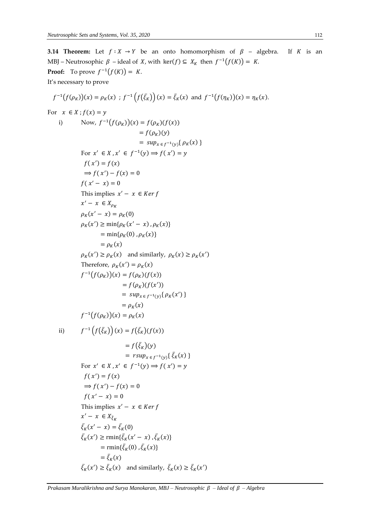**3.14 Theorem:** Let  $f : X \to Y$  be an onto homomorphism of  $\beta$  – algebra. If K is an MBJ – Neutrosophic  $\beta$  – ideal of X, with ker(f)  $\subseteq X_K$  then  $f^{-1}(f(K)) = K$ . **Proof:** To prove  $f^{-1}(f(K)) = K$ . It's necessary to prove  $f^{-1}(f(\rho_K))(x) = \rho_K(x)$ ;  $f^{-1}(f(\bar{\xi}_K))(x) = \bar{\xi}_K(x)$  and  $f^{-1}(f(\eta_K))(x) = \eta_K(x)$ . For  $x \in X$ ;  $f(x) = y$ i) Now,  $f^{-1}(f(\rho_K))(x) = f(\rho_K)(f(x))$  $= f(\rho_K)(y)$  $= \sup_{x \in f^{-1}(y)} \{ \rho_K(x) \}$ For  $x' \in X$ ,  $x' \in f^{-1}(y) \implies f(x') = y$  $f(x') = f(x)$  $\Rightarrow$   $f(x') - f(x) = 0$  $f(x'-x)=0$ This implies  $x' - x \in \text{Ker } f$  $x' - x \in X_{\rho_K}$  $\rho_K(x'-x) = \rho_K(0)$  $\rho_K(x') \ge \min\{\rho_K(x'-x), \rho_K(x)\}\$  $= \min\{\rho_K(0), \rho_K(x)\}\$  $= \rho_K(x)$  $\rho_K(x') \ge \rho_K(x)$  and similarly,  $\rho_K(x) \ge \rho_K(x')$ Therefore,  $\rho_K(x') = \rho_K(x)$  $f^{-1}(f(\rho_K))(x) = f(\rho_K)(f(x))$  $= f(\rho_K)(f(x'))$  $= \sup_{x \in f^{-1}(y)} \{ \rho_K(x') \}$  $= \rho_K(x)$  $f^{-1}(f(\rho_K))(x) = \rho_K(x)$ ii)  $f^{-1}(f(\bar{\xi}_K))(x) = f(\bar{\xi}_K)(f(x))$  $= f(\bar{\xi}_K)(y)$  $= r \sup_{x \in f^{-1}(y)} {\bar{\xi}_K(x)}$ For  $x' \in X$ ,  $x' \in f^{-1}(y) \implies f(x') = y$  $f(x') = f(x)$  $\Rightarrow$   $f(x') - f(x) = 0$  $f(x'-x)=0$ This implies  $x' - x \in \text{Ker } f$  $x' - x \in X_{\bar{\xi}_K}$  $\bar{\xi}_K(x'-x) = \bar{\xi}_K(0)$  $\bar{\xi}_K(x') \ge \text{rmin}\{\bar{\xi}_K(x'-x), \bar{\xi}_K(x)\}\$  $= \min\{\bar{\xi}_K(0), \bar{\xi}_K(x)\}$  $= \bar{\xi}_K(x)$  $\bar{\xi}_K(x') \ge \bar{\xi}_K(x)$  and similarly,  $\bar{\xi}_K(x) \ge \bar{\xi}_K(x')$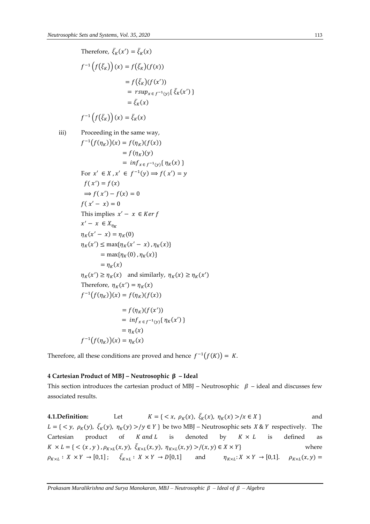Therefore, 
$$
\bar{\xi}_K(x') = \bar{\xi}_K(x)
$$
  
\n
$$
f^{-1}(f(\bar{\xi}_K))(x) = f(\bar{\xi}_K)(f(x))
$$
\n
$$
= f(\bar{\xi}_K)(f(x'))
$$
\n
$$
= rsup_{x \in f^{-1}(y)}{\{\bar{\xi}_K(x')\}}
$$
\n
$$
= \bar{\xi}_K(x)
$$
\n
$$
f^{-1}(f(\bar{\xi}_K))(x) = \bar{\xi}_K(x)
$$
\niii) Proceeding in the same way,  
\n
$$
f^{-1}(f(\eta_K))(x) = f(\eta_K)(f(x))
$$
\n
$$
= f(\eta_K)(y)
$$
\n
$$
= inf_{x \in f^{-1}(y)}{\{\eta_K(x)\}}
$$
\nFor  $x' \in X, x' \in f^{-1}(y) \Rightarrow f(x') = y$   
\n
$$
f(x') = f(x)
$$
\n
$$
\Rightarrow f(x') - f(x) = 0
$$
\nThis implies  $x' - x \in Ker f$   
\n
$$
x' - x \in X_{\eta_K}
$$
\n
$$
\eta_K(x' - x) = \eta_K(0)
$$
\n
$$
\eta_K(x') \le \max{\{\eta_K(x' - x), \eta_K(x)\}}
$$
\n
$$
= \max{\{\eta_K(0), \eta_K(x)\}}
$$
\n
$$
= \eta_K(x)
$$
\n
$$
\eta_K(x') \ge \eta_K(x)
$$
 and similarly,  $\eta_K(x) \ge \eta_K(x')$   
\nTherefore,  $\eta_K(x') = \eta_K(x)$   
\n
$$
f^{-1}(f(\eta_K))(x) = f(\eta_K)(f(x))
$$
\n
$$
= f(\eta_K)(f(x'))
$$
\n
$$
= \eta_K(x)
$$
\n
$$
f^{-1}(f(\eta_K))(x) = \eta_K(x)
$$
\n
$$
f^{-1}(f(\eta_K))(x) = \eta_K(x)
$$
\n
$$
f^{-1}(f(\eta_K))(x) = \eta_K(x)
$$

Therefore, all these conditions are proved and hence  $f^{-1}(f(K)) = K$ .

#### **4 Cartesian Product of MBJ – Neutrosophic – Ideal**

This section introduces the cartesian product of MBJ – Neutrosophic  $\beta$  – ideal and discusses few associated results.

**4.1.Definition:** Let  $K = \{ \langle x, \rho_K(x), \bar{\zeta}_K(x), \eta_K(x) \rangle / x \in X \}$  and  $L = \{ \langle y, \rho_K(y), \overline{\xi_K}(y), \eta_K(y) \rangle / y \in Y \}$  be two MBJ – Neutrosophic sets  $X \& Y$  respectively. The Cartesian product of  $K$  and  $L$  is denoted by  $K \times L$  is defined as  $K \times L = \{ \langle (x, y), \rho_{K \times L}(x, y), \overline{\xi}_{K \times L}(x, y), \eta_{K \times L}(x, y) \rangle / (x, y) \in X \times Y \}$  where  $\rho_{K \times L}: X \times Y \to [0,1]; \quad \bar{\xi}_{K \times L}: X \times Y \to D[0,1]$  and  $\eta_{K \times L}: X \times Y \to [0,1]. \quad \rho_{K \times L}(x,y) =$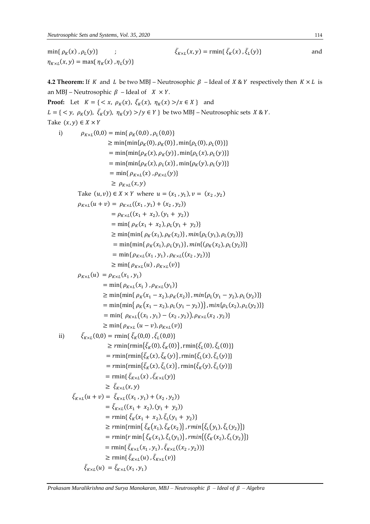$$
\min\{\,\rho_K(x)\,,\rho_L(y)\}\qquad;\qquad\qquad\bar{\xi}_{K\times L}(x,y)=\min\{\,\bar{\xi}_K(x)\,,\bar{\xi}_L(y)\}\qquad\qquad\text{and}\qquad
$$

 $\eta_{K \times L}(x, y) = \max\{\eta_K(x), \eta_L(y)\}\$ 

**4.2 Theorem:** If K and L be two MBJ – Neutrosophic  $\beta$  – Ideal of  $X \& Y$  respectively then  $K \times L$  is an MBJ – Neutrosophic  $\beta$  – Ideal of  $X \times Y$ . **Proof:** Let  $K = \{ \langle x, \rho_K(x), \overline{\xi}_K(x), \eta_K(x) \rangle | x \in X \}$  and  $L = \{ \langle y, \rho_K(y), \overline{\xi_K}(y), \eta_K(y) \rangle / y \in Y \}$  be two MBJ – Neutrosophic sets  $X \& Y$ . Take  $(x, y) \in X \times Y$ i)  $\rho_{K \times L}(0,0) = \min\{\rho_K(0,0), \rho_L(0,0)\}\$  $\geq \min\{\min\{\rho_K(0), \rho_K(0)\}, \min\{\rho_L(0), \rho_L(0)\}\}\$ = min{min{ $\rho_K(x)$ ,  $\rho_K(y)$ }, min{ $\rho_L(x)$ ,  $\rho_L(y)$ }} = min{min{ $\rho_K(x)$ ,  $\rho_L(x)$ }, min{ $\rho_K(y)$ ,  $\rho_L(y)$ }}  $=$  min{ $\rho_{K\times L}(x)$ ,  $\rho_{K\times L}(y)$ }  $\geq \rho_{K \times L}(x, y)$ Take  $(u, v)$ )  $\in X \times Y$  where  $u = (x_1, y_1), v = (x_2, y_2)$  $\rho_{K\times L}(u + v) = \rho_{K\times L}((x_1, y_1) + (x_2, y_2))$  $= \rho_{K \times L}((x_1 + x_2), (y_1 + y_2))$  $=$  min{  $\rho_K(x_1 + x_2), \rho_L(y_1 + y_2)$ }  $\geq \min\{\min\{\rho_K(x_1), \rho_K(x_2)\}, \min\{\rho_L(y_1), \rho_L(y_2)\}\}\$ = min{min{  $\rho_K(x_1), \rho_L(y_1)$ }, min{( $\rho_K(x_2), \rho_L(y_2)$ }}  $= \min\{ \rho_{K \times L}(x_1, y_1), \rho_{K \times L}((x_2, y_2)) \}$  $\geq \min\{\rho_{K\times L}(u), \rho_{K\times L}(v)\}$  $\rho_{K\times L}(u) = \rho_{K\times L}(x_1,y_1)$  $= \min\{\rho_{K\times L}(x_1), \rho_{K\times L}(y_1)\}\$  $\geq \min\{\min\{\rho_K(x_1 - x_2), \rho_K(x_2)\}, \min\{\rho_L(y_1 - y_2), \rho_L(y_2)\}\}\$  $= \min\{\min\{\rho_K(x_1 - x_2), \rho_L(y_1 - y_2)\}\}\$ ,  $\min\{\rho_L(x_2), \rho_L(y_2)\}\$ = min{  $\rho_{K \times L}((x_1, y_1) - (x_2, y_2)), \rho_{K \times L}(x_2, y_2)$ }  $\geq \min\{\rho_{K\times L}(u-v), \rho_{K\times L}(v)\}\$ ii)  $\bar{\xi}_{K\times L}(0,0) = \min\{\bar{\xi}_{K}(0,0), \bar{\xi}_{L}(0,0)\}\$  $\geq r \min\{r \min\{\bar{\xi}_K(0), \bar{\xi}_K(0)\}\}$ , rmin $\{\bar{\xi}_L(0), \bar{\xi}_L(0)\}\}$ =  $rmin\{rmin\{\bar{\xi}_K(x), \bar{\xi}_K(y)\}\}$ ,  $rmin\{\bar{\xi}_L(x), \bar{\xi}_L(y)\}\}$ =  $rmin\{rmin\{\bar{\xi}_K(x), \bar{\xi}_L(x)\}\}$ ,  $rmin\{\bar{\xi}_K(y), \bar{\xi}_L(y)\}\}$  $=$  rmin{ $\bar{\xi}_{K\times L}(x)$ ,  $\bar{\xi}_{K\times L}(y)$ }  $\geq \bar{\xi}_{K\times L}(x,y)$  $\bar{\xi}_{K\times L}(u+v) = \bar{\xi}_{K\times L}((x_1,y_1) + (x_2,y_2))$  $= \bar{\xi}_{K\times L}((x_1 + x_2), (y_1 + y_2))$  $=$  rmin{ $\bar{\xi}_K(x_1 + x_2), \bar{\xi}_L(y_1 + y_2)$ }  $\geq$   $rmin\{rmin\{\bar{\xi}_K(x_1), \bar{\xi}_K(x_2)\}, rmin\{\bar{\xi}_L(y_1), \bar{\xi}_L(y_2)\}\}\$ =  $rmin{rmin{\{\bar{\xi}_K(x_1), \bar{\xi}_L(y_1)\}}, rmin{(\{\bar{\xi}_K(x_2), \bar{\xi}_L(y_2)\})\}}$ = rmin{ $\bar{\xi}_{K\times L}(x_1, y_1)$ ,  $\bar{\xi}_{K\times L}((x_2, y_2))$ }  $\geq$  rmin{ $\bar{\xi}_{K\times L}(u)$ ,  $\bar{\xi}_{K\times L}(v)$ }  $\bar{\xi}_{K\times L}(u) = \bar{\xi}_{K\times L}(x_1, y_1)$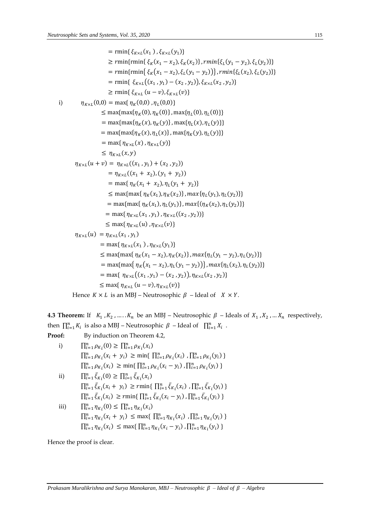$$
= min\{\xi_{K\times L}(x_1), \xi_{K\times L}(y_1)\}\
$$
  
\n
$$
\geq rmin\{rmin\{\xi_K(x_1 - x_2), \xi_K(x_2)\}, rmin\{\xi_L(y_1 - y_2), \xi_L(y_2)\}\}\
$$
  
\n
$$
= rmin\{rmin\{\xi_K(x_1 - x_2), \xi_L(y_1 - y_2)\}, rmin\{\xi_L(x_2), \xi_L(y_2)\}\}\
$$
  
\n
$$
= rmin\{\xi_{K\times L}((x_1, y_1) - (x_2, y_2)), \xi_{K\times L}(x_2, y_2)\}\
$$
  
\n
$$
\geq rmin\{\xi_{K\times L}(u - v), \xi_{K\times L}(v)\}\
$$
  
\ni)  
\n
$$
\eta_{K\times L}(0,0) = max\{\eta_K(0,0), \eta_L(0,0)\}\
$$
  
\n
$$
\leq max\{max\{\eta_K(0), \eta_K(0)\}, max\{\eta_L(0), \eta_L(0)\}\}\
$$
  
\n
$$
= max\{max\{\eta_{K\times L}(x), \eta_{K\times L}(y)\}\
$$
  
\n
$$
= max\{\eta_{K\times L}(x), \eta_{K\times L}(y)\}\
$$
  
\n
$$
\eta_{K\times L}(u + v) = \eta_{K\times L}((x_1, y_1) + (x_2, y_2))\]
$$
  
\n
$$
= max\{\eta_K(x_1 + x_2), (y_1 + y_2)\}\
$$
  
\n
$$
= max\{\eta_K(x_1 + x_2), \eta_L(y_1 + y_2)\}\
$$
  
\n
$$
\leq max\{max\{\eta_K(x_1), \eta_K(x_2)\}, max\{\eta_L(y_1), \eta_L(y_2)\}\}\
$$
  
\n
$$
= max\{\eta_{K\times L}(x_1, y_1), \eta_{K\times L}((x_2, y_2), \eta_L(y_2))\}\
$$
  
\n
$$
= max\{\eta_{K\times L}(u), \eta_{K\times L}(v)\}\
$$
  
\n
$$
\eta_{K\times L}(u) = \eta_{K\times L}(x_1, y_1)
$$
  
\n
$$
= max\{\eta_{K\times L}(x_1, y
$$

Hence  $K \times L$  is an MBJ – Neutrosophic  $\beta$  – Ideal of  $X \times Y$ .

**4.3 Theorem:** If  $K_1, K_2, \ldots, K_n$  be an MBJ – Neutrosophic  $\beta$  – Ideals of  $X_1, X_2, \ldots, X_n$  respectively, then  $\prod_{i=1}^{n} K_i$  is also a MBJ – Neutrosophic  $\beta$  – Ideal of  $\prod_{i=1}^{n} X_i$ .

Proof:  
\nBy induction on Theorem 4.2,  
\ni) 
$$
\prod_{i=1}^{n} \rho_{K_i}(0) \ge \prod_{i=1}^{n} \rho_{K_i}(x_i)
$$
\n
$$
\prod_{i=1}^{n} \rho_{K_i}(x_i + y_i) \ge \min\{\prod_{i=1}^{n} \rho_{K_i}(x_i) , \prod_{i=1}^{n} \rho_{K_i}(y_i) \}
$$
\n
$$
\prod_{i=1}^{n} \rho_{K_i}(x_i) \ge \min\{\prod_{i=1}^{n} \rho_{K_i}(x_i - y_i) , \prod_{i=1}^{n} \rho_{K_i}(y_i) \}
$$
\nii) 
$$
\prod_{i=1}^{n} \bar{\xi}_{K_i}(0) \ge \prod_{i=1}^{n} \bar{\xi}_{K_i}(x_i)
$$
\n
$$
\prod_{i=1}^{n} \bar{\xi}_{K_i}(x_i + y_i) \ge r \min\{\prod_{i=1}^{n} \bar{\xi}_{K_i}(x_i) , \prod_{i=1}^{n} \bar{\xi}_{K_i}(y_i) \}
$$
\n
$$
\prod_{i=1}^{n} \bar{\xi}_{K_i}(x_i) \ge r \min\{\prod_{i=1}^{n} \bar{\xi}_{K_i}(x_i - y_i) , \prod_{i=1}^{n} \bar{\xi}_{K_i}(y_i) \}
$$
\niii) 
$$
\prod_{i=1}^{n} \eta_{K_i}(0) \le \prod_{i=1}^{n} \eta_{K_i}(x_i)
$$
\n
$$
\prod_{i=1}^{n} \eta_{K_i}(x_i + y_i) \le \max\{\prod_{i=1}^{n} \eta_{K_i}(x_i) , \prod_{i=1}^{n} \eta_{K_i}(y_i) \}
$$
\n
$$
\prod_{i=1}^{n} \eta_{K_i}(x_i) \le \max\{\prod_{i=1}^{n} \eta_{K_i}(x_i - y_i) , \prod_{i=1}^{n} \eta_{K_i}(y_i) \}
$$

Hence the proof is clear.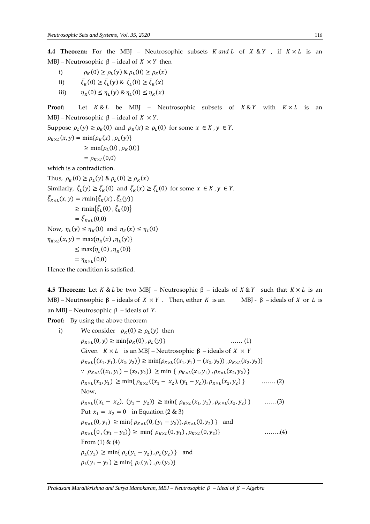**4.4 Theorem:** For the MBJ – Neutrosophic subsets  $K$  and  $L$  of  $X \& Y$ , if  $K \times L$  is an MBJ – Neutrosophic  $β$  – ideal of  $X \times Y$  then

- i)  $\rho_K(0) \ge \rho_L(y) \& \rho_L(0) \ge \rho_K(x)$
- ii)  $\bar{\xi}_K(0) \ge \bar{\xi}_L(y) \& \bar{\xi}_L(0) \ge \bar{\xi}_K(x)$
- iii)  $\eta_K(0) \le \eta_L(y) \& \eta_L(0) \le \eta_K(x)$

**Proof:** Let  $K & L$  be MBJ – Neutrosophic subsets of  $X & K$  with  $K \times L$  is an MBJ – Neutrosophic  $β$  – ideal of  $X \times Y$ .

Suppose  $\rho_L(y) \ge \rho_K(0)$  and  $\rho_K(x) \ge \rho_L(0)$  for some  $x \in X$ ,  $y \in Y$ .  $\rho_{K\times L}(x, y) = \min\{\rho_K(x), \rho_L(y)\}\$ 

 $\geq \min\{\rho_L(0), \rho_K(0)\}\$ 

 $= \rho_{K\times L}(0,0)$ 

which is a contradiction.

Thus,  $\rho_K(0) \ge \rho_L(y) \& \rho_L(0) \ge \rho_K(x)$ Similarly,  $\bar{\xi}_L(y) \ge \bar{\xi}_K(0)$  and  $\bar{\xi}_K(x) \ge \bar{\xi}_L(0)$  for some  $x \in X, y \in Y$ .  $\bar{\xi}_{K\times L}(x, y) = r \min{\{\bar{\xi}_{K}(x), \bar{\xi}_{L}(y)\}}$  $\geq$  rmin $\{\bar{\xi}_L(0), \bar{\xi}_K(0)\}$  $= \bar{\xi}_{K\times L}(0,0)$ Now,  $\eta_L(y) \leq \eta_K(0)$  and  $\eta_K(x) \leq \eta_L(0)$  $\eta_{K\times L}(x, y) = \max{\eta_K(x), \eta_L(y)}$  $\leq$  max $\{\eta_L(0), \eta_K(0)\}\$  $=\eta_{K\times L}(0,0)$ 

Hence the condition is satisfied.

**4.5 Theorem:** Let  $K \& L$  be two MBJ – Neutrosophic  $\beta$  – ideals of  $X \& Y$  such that  $K \times L$  is an MBJ – Neutrosophic  $\beta$  – ideals of  $X \times Y$ . Then, either K is an MBJ -  $\beta$  – ideals of X or L is an MBJ – Neutrosophic  $β$  – ideals of  $Y$ .

**Proof:** By using the above theorem

i) We consider  $\rho_K(0) \ge \rho_L(y)$  then  $\rho_{K\times L}(0, y) \ge \min\{\rho_K(0), \rho_L\}$  $\ldots$  (1) Given  $K \times L$  is an MBJ – Neutrosophic β – ideals of  $X \times Y$  $\rho_{K \times L}((x_1, y_1), (x_2, y_2)) \ge \min{\rho_{K \times L}((x_1, y_1) - (x_2, y_2))}, \rho_{K \times L}(x_2, y_2)$ ∴  $\rho_{K \times L}((x_1, y_1) - (x_2, y_2)) \ge \min \{ \rho_{K \times L}(x_1, y_1), \rho_{K \times L}(x_2, y_2) \}$  $\rho_{K \times L}(x_1, y_1) \ge \min\{\rho_{K \times L}((x_1 - x_2), (y_1 - y_2)), \rho_{K \times L}(x_2, y_2)\}\$  $\ldots$  . . . . . . . (2) Now,  $\rho_{K \times L}((x_1 - x_2), (y_1 - y_2)) \ge \min\{ \rho_{K \times L}(x_1, y_1), \rho_{K \times L}(x_2, y_2)\}$  $\ldots$  (3) Put  $x_1 = x_2 = 0$  in Equation (2 & 3)  $\rho_{K \times L}(0, y_1) \ge \min\{\rho_{K \times L}(0, (y_1 - y_2)), \rho_{K \times L}(0, y_2)\}\$ and  $\rho_{K\times L}(0,(y_1-y_2)) \geq \min\{ \rho_{K\times L}(0,y_1), \rho_{K\times L}(0,y_2)\}$  $\ldots$  $\ldots$  $(4)$ From  $(1)$  &  $(4)$  $\rho_L(y_1) \ge \min\{\rho_L(y_1 - y_2), \rho_L(y_2)\}\$ and  $\rho_L(y_1 - y_2) \ge \min\{ \rho_L(y_1) \cdot \rho_L(y_2) \}$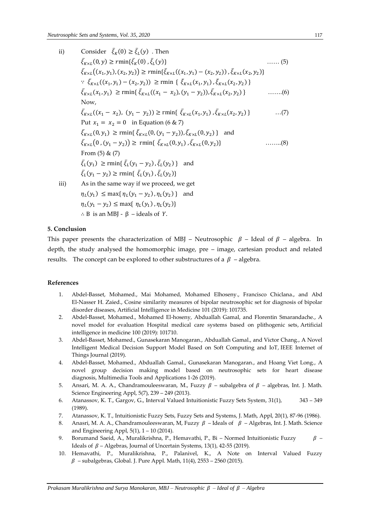ii) Consider  $\bar{\xi}_K(0) \geq \bar{\xi}_L(y)$ . Then  $\bar{\xi}_{K\times L}(0, y) \geq r \min\{\bar{\xi}_{K}(0), \bar{\xi}_{L}\}$ ……  $(5)$  $\bar{\xi}_{K\times L}((x_1, y_1), (x_2, y_2)) \ge \min{\{\bar{\xi}_{K\times L}((x_1, y_1) - (x_2, y_2))\}, \bar{\xi}_{K\times L}(x_2, y_2)\}}$ :  $\bar{\xi}_{K\times L}((x_1, y_1) - (x_2, y_2))$  ≥ rmin {  $\bar{\xi}_{K\times L}(x_1, y_1)$ ,  $\bar{\xi}_{K\times L}(x_2, y_2)$  }  $\bar{\xi}_{K\times L}(x_1, y_1) \ge \text{rmin}\{\bar{\xi}_{K\times L}((x_1 - x_2), (y_1 - y_2)), \bar{\xi}_{K\times L}(x_2, y_2)\}$  $\ldots$   $(6)$ Now,  $\bar{\xi}_{K\times L}((x_1 - x_2), (y_1 - y_2)) \ge \text{rmin}\{\bar{\xi}_{K\times L}(x_1, y_1), \bar{\xi}_{K\times L}(x_2, y_2)\}$  $\dots(7)$ Put  $x_1 = x_2 = 0$  in Equation (6 & 7)  $\bar{\xi}_{K\times L}(0, y_1) \ge \text{rmin}\{\bar{\xi}_{K\times L}(0, (y_1 - y_2)), \bar{\xi}_{K\times L}(0, y_2)\}\$ and  $\bar{\xi}_{K\times L}(0,(y_1-y_2)) \ge \text{rmin}\{\ \bar{\xi}_{K\times L}(0,y_1),\bar{\xi}_{K\times L}(0,y_2)\}$  $\ldots$  $\ldots$  $(8)$ From (5) & (7)  $\bar{\xi}_L(y_1) \ge \text{rmin}\{\bar{\xi}_L(y_1 - y_2), \bar{\xi}_L(y_2)\}\$ and  $\bar{\xi}_L(y_1 - y_2) \ge \text{rmin}\{\ \bar{\xi}_L(y_1), \bar{\xi}_L(y_2)\}\$ iii) As in the same way if we proceed, we get  $\eta_L(y_1) \le \max\{\eta_L(y_1 - y_2), \eta_L(y_2)\}\$ and  $\eta_L(y_1 - y_2) \le \max\{\eta_L(y_1), \eta_L(y_2)\}\$  $\therefore$  B is an MBJ - β – ideals of Y.

### **5. Conclusion**

This paper presents the characterization of MBJ – Neutrosophic  $\beta$  – Ideal of  $\beta$  – algebra. In depth, the study analysed the homomorphic image, pre – image, cartesian product and related results. The concept can be explored to other substructures of a  $\beta$  – algebra.

#### **References**

- 1. Abdel-Basset, Mohamed., Mai Mohamed, Mohamed Elhoseny., Francisco Chiclana., and Abd El-Nasser H. Zaied., Cosine similarity measures of bipolar neutrosophic set for diagnosis of bipolar disorder diseases, Artificial Intelligence in Medicine 101 (2019): 101735.
- 2. Abdel-Basset, Mohamed., Mohamed El-hoseny, Abduallah Gamal, and Florentin Smarandache., A novel model for evaluation Hospital medical care systems based on plithogenic sets, Artificial intelligence in medicine 100 (2019): 101710.
- 3. Abdel-Basset, Mohamed., Gunasekaran Manogaran., Abduallah Gamal., and Victor Chang., A Novel Intelligent Medical Decision Support Model Based on Soft Computing and IoT, IEEE Internet of Things Journal (2019).
- 4. Abdel-Basset, Mohamed., Abduallah Gamal., Gunasekaran Manogaran., and Hoang Viet Long., A novel group decision making model based on neutrosophic sets for heart disease diagnosis, Multimedia Tools and Applications 1-26 (2019).
- 5. Ansari, M. A. A., Chandramouleeswaran, M., Fuzzy  $\beta$  subalgebra of  $\beta$  algebras, Int. J. Math. Science Engineering Appl, 5(7), 239 – 249 (2013).
- 6. Atanassov, K. T., Gargov, G., Interval Valued Intuitionistic Fuzzy Sets System, 31(1), 343 349 (1989).
- 7. Atanassov, K. T., Intuitionistic Fuzzy Sets, Fuzzy Sets and Systems, J. Math, Appl, 20(1), 87-96 (1986).
- 8. Anasri, M. A. A., Chandramouleeswaran, M, Fuzzy  $\beta$  Ideals of  $\beta$  Algebras, Int. J. Math. Science and Engineering Appl, 5(1), 1 – 10 (2014).
- 9. Borumand Saeid, A., Muralikrishna, P., Hemavathi, P., Bi Normed Intuitionistic Fuzzy  $\beta$  Ideals of  $\beta$  – Algebras, Journal of Uncertain Systems, 13(1), 42-55 (2019).
- 10. Hemavathi, P., Muralikrishna, P., Palanivel, K., A Note on Interval Valued Fuzzy  $\beta$  – subalgebras, Global. J. Pure Appl. Math, 11(4), 2553 – 2560 (2015).